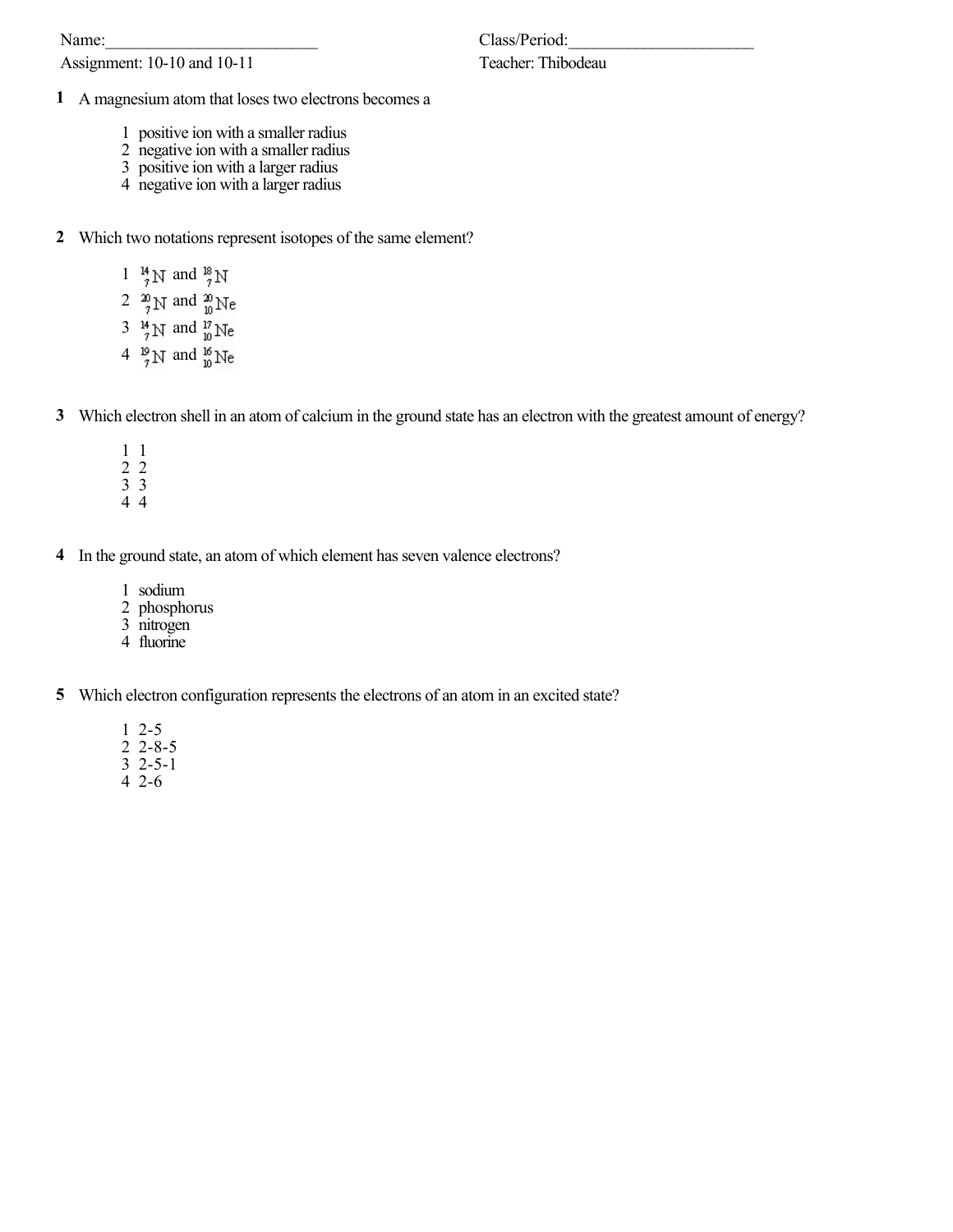Name:

Assignment: 10-10 and 10-11

## Teacher: Thibodeau

- A magnesium atom that loses two electrons becomes a
	- positive ion with a smaller radius
	- negative ion with a smaller radius
	- positive ion with a larger radius
	- negative ion with a larger radius
- Which two notations represent isotopes of the same element?
	- 1  $^{14}_{7}$  N and  $^{18}_{7}$  N
	- 2  $\frac{20}{7}$ N and  $\frac{20}{10}$ Ne
	- 3  $\frac{14}{7}$ N and  $\frac{17}{10}$ Ne
	- 4  $\frac{19}{7}$ N and  $\frac{16}{10}$ Ne
- Which electron shell in an atom of calcium in the ground state has an electron with the greatest amount of energy?
	- 1
	- 2
	- 3 4
- In the ground state, an atom of which element has seven valence electrons?
	- sodium
	- phosphorus
	- $rac{1}{3}$  nitrogen
	- fluorine
- Which electron configuration represents the electrons of an atom in an excited state?
	- 2-5
	- 2-8-5
	- $\frac{1}{3}$  2-5-1
	- 2-6